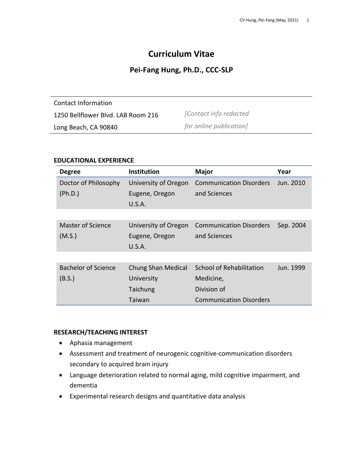# **Curriculum Vitae**

# **Pei-Fang Hung, Ph.D., CCC-SLP**

Contact Information 1250 Bellflower Blvd. LAB Room 216 Long Beach, CA 90840 *[Contact info redacted for online publication]*

#### **EDUCATIONAL EXPERIENCE**

| <b>Degree</b>                        | <b>Institution</b>                               | <b>Major</b>                                                | Year      |
|--------------------------------------|--------------------------------------------------|-------------------------------------------------------------|-----------|
| Doctor of Philosophy<br>(Ph.D.)      | University of Oregon<br>Eugene, Oregon<br>U.S.A. | <b>Communication Disorders</b><br>and Sciences              | Jun. 2010 |
|                                      |                                                  |                                                             |           |
| Master of Science<br>(M.S.)          | University of Oregon<br>Eugene, Oregon<br>U.S.A. | <b>Communication Disorders</b><br>and Sciences              | Sep. 2004 |
|                                      |                                                  |                                                             |           |
| <b>Bachelor of Science</b><br>(B.S.) | Chung Shan Medical<br>University<br>Taichung     | <b>School of Rehabilitation</b><br>Medicine,<br>Division of | Jun. 1999 |
|                                      | Taiwan                                           | <b>Communication Disorders</b>                              |           |

#### **RESEARCH/TEACHING INTEREST**

- Aphasia management
- Assessment and treatment of neurogenic cognitive-communication disorders secondary to acquired brain injury
- Language deterioration related to normal aging, mild cognitive impairment, and dementia
- Experimental research designs and quantitative data analysis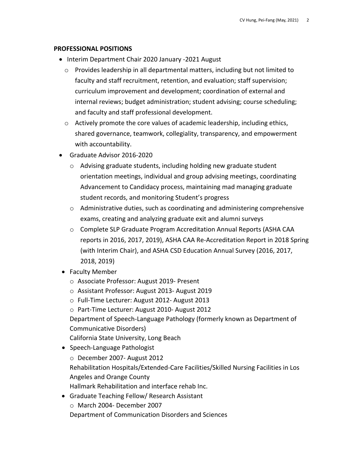#### **PROFESSIONAL POSITIONS**

- Interim Department Chair 2020 January -2021 August
	- $\circ$  Provides leadership in all departmental matters, including but not limited to faculty and staff recruitment, retention, and evaluation; staff supervision; curriculum improvement and development; coordination of external and internal reviews; budget administration; student advising; course scheduling; and faculty and staff professional development.
	- o Actively promote the core values of academic leadership, including ethics, shared governance, teamwork, collegiality, transparency, and empowerment with accountability.
- Graduate Advisor 2016-2020
	- o Advising graduate students, including holding new graduate student orientation meetings, individual and group advising meetings, coordinating Advancement to Candidacy process, maintaining mad managing graduate student records, and monitoring Student's progress
	- $\circ$  Administrative duties, such as coordinating and administering comprehensive exams, creating and analyzing graduate exit and alumni surveys
	- o Complete SLP Graduate Program Accreditation Annual Reports (ASHA CAA reports in 2016, 2017, 2019), ASHA CAA Re-Accreditation Report in 2018 Spring (with Interim Chair), and ASHA CSD Education Annual Survey (2016, 2017, 2018, 2019)
- Faculty Member
	- o Associate Professor: August 2019- Present
	- o Assistant Professor: August 2013- August 2019
	- o Full-Time Lecturer: August 2012- August 2013
	- o Part-Time Lecturer: August 2010- August 2012

Department of Speech-Language Pathology (formerly known as Department of Communicative Disorders)

California State University, Long Beach

- Speech-Language Pathologist
	- o December 2007- August 2012

Rehabilitation Hospitals/Extended-Care Facilities/Skilled Nursing Facilities in Los Angeles and Orange County

Hallmark Rehabilitation and interface rehab Inc.

• Graduate Teaching Fellow/ Research Assistant o March 2004- December 2007

Department of Communication Disorders and Sciences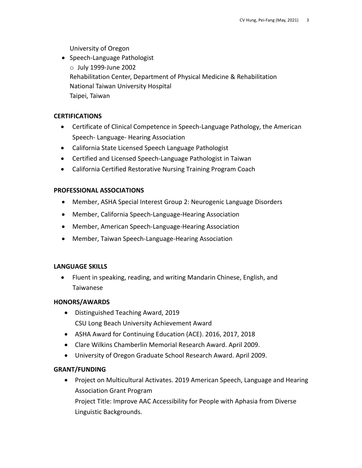University of Oregon

• Speech-Language Pathologist o July 1999-June 2002 Rehabilitation Center, Department of Physical Medicine & Rehabilitation National Taiwan University Hospital Taipei, Taiwan

#### **CERTIFICATIONS**

- Certificate of Clinical Competence in Speech-Language Pathology, the American Speech- Language- Hearing Association
- California State Licensed Speech Language Pathologist
- Certified and Licensed Speech-Language Pathologist in Taiwan
- California Certified Restorative Nursing Training Program Coach

# **PROFESSIONAL ASSOCIATIONS**

- Member, ASHA Special Interest Group 2: Neurogenic Language Disorders
- Member, California Speech-Language-Hearing Association
- Member, American Speech-Language-Hearing Association
- Member, Taiwan Speech-Language-Hearing Association

# **LANGUAGE SKILLS**

• Fluent in speaking, reading, and writing Mandarin Chinese, English, and Taiwanese

# **HONORS/AWARDS**

- Distinguished Teaching Award, 2019 CSU Long Beach University Achievement Award
- ASHA Award for Continuing Education (ACE). 2016, 2017, 2018
- Clare Wilkins Chamberlin Memorial Research Award. April 2009.
- University of Oregon Graduate School Research Award. April 2009.

# **GRANT/FUNDING**

• Project on Multicultural Activates. 2019 American Speech, Language and Hearing Association Grant Program

Project Title: Improve AAC Accessibility for People with Aphasia from Diverse Linguistic Backgrounds.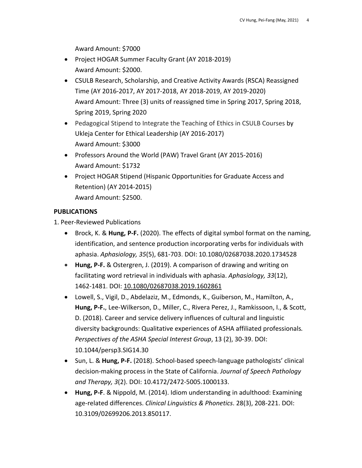Award Amount: \$7000

- Project HOGAR Summer Faculty Grant (AY 2018-2019) Award Amount: \$2000.
- CSULB Research, Scholarship, and Creative Activity Awards (RSCA) Reassigned Time (AY 2016-2017, AY 2017-2018, AY 2018-2019, AY 2019-2020) Award Amount: Three (3) units of reassigned time in Spring 2017, Spring 2018, Spring 2019, Spring 2020
- Pedagogical Stipend to Integrate the Teaching of Ethics in CSULB Courses by Ukleja Center for Ethical Leadership (AY 2016-2017) Award Amount: \$3000
- Professors Around the World (PAW) Travel Grant (AY 2015-2016) Award Amount: \$1732
- Project HOGAR Stipend (Hispanic Opportunities for Graduate Access and Retention) (AY 2014-2015) Award Amount: \$2500.

# **PUBLICATIONS**

1. Peer-Reviewed Publications

- Brock, K. & **Hung, P-F.** (2020). The effects of digital symbol format on the naming, identification, and sentence production incorporating verbs for individuals with aphasia. *Aphasiology, 35*(5), 681-703. DOI: 10.1080/02687038.2020.1734528
- **Hung, P-F.** & Ostergren, J. (2019). A comparison of drawing and writing on facilitating word retrieval in individuals with aphasia. *Aphasiology, 33*(12), 1462-1481. DOI: 10.1080/02687038.2019.1602861
- Lowell, S., Vigil, D., Abdelaziz, M., Edmonds, K., Guiberson, M., Hamilton, A., **Hung, P-F.**, Lee-Wilkerson, D., Miller, C., Rivera Perez, J., Ramkissoon, I., & Scott, D. (2018). Career and service delivery influences of cultural and linguistic diversity backgrounds: Qualitative experiences of ASHA affiliated professionals*. Perspectives of the ASHA Special Interest Group*, 13 (2), 30-39. DOI: 10.1044/persp3.SIG14.30
- Sun, L. & **Hung, P-F.** (2018). School-based speech-language pathologists' clinical decision-making process in the State of California. *Journal of Speech Pathology and Therapy, 3*(2). DOI: 10.4172/2472-5005.1000133.
- **Hung, P-F**. & Nippold, M. (2014). Idiom understanding in adulthood: Examining age-related differences. *Clinical Linguistics & Phonetics*. 28(3), 208-221. DOI: 10.3109/02699206.2013.850117.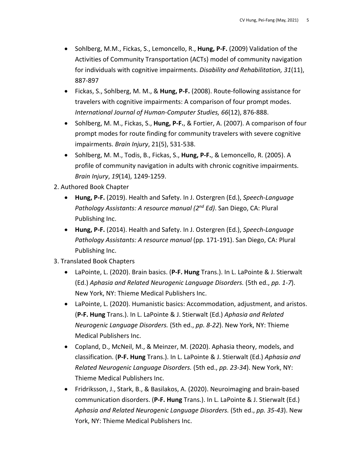- Sohlberg, M.M., Fickas, S., Lemoncello, R., **Hung, P-F.** (2009) Validation of the Activities of Community Transportation (ACTs) model of community navigation for individuals with cognitive impairments. *Disability and Rehabilitation, 31*(11), 887-897
- Fickas, S., Sohlberg, M. M., & **Hung, P-F.** (2008). Route-following assistance for travelers with cognitive impairments: A comparison of four prompt modes. *International Journal of Human-Computer Studies, 66*(12), 876-888.
- Sohlberg, M. M., Fickas, S., **Hung, P-F.**, & Fortier, A. (2007). A comparison of four prompt modes for route finding for community travelers with severe cognitive impairments. *Brain Injury*, 21(5), 531-538.
- Sohlberg, M. M., Todis, B., Fickas, S., **Hung, P-F.**, & Lemoncello, R. (2005). A profile of community navigation in adults with chronic cognitive impairments. *Brain Injury*, *19*(14), 1249-1259.

2. Authored Book Chapter

- **Hung, P-F.** (2019). Health and Safety. In J. Ostergren (Ed.), *Speech-Language Pathology Assistants: A resource manual (2nd Ed)*. San Diego, CA: Plural Publishing Inc.
- **Hung, P-F.** (2014). Health and Safety. In J. Ostergren (Ed.), *Speech-Language Pathology Assistants: A resource manual* (pp. 171-191). San Diego, CA: Plural Publishing Inc.

# 3. Translated Book Chapters

- LaPointe, L. (2020). Brain basics. (**P-F. Hung** Trans.). In L. LaPointe & J. Stierwalt (Ed.) *Aphasia and Related Neurogenic Language Disorders.* (5th ed., *pp. 1-7*). New York, NY: Thieme Medical Publishers Inc.
- LaPointe, L. (2020). Humanistic basics: Accommodation, adjustment, and aristos. (**P-F. Hung** Trans.). In L. LaPointe & J. Stierwalt (Ed.) *Aphasia and Related Neurogenic Language Disorders.* (5th ed., *pp. 8-22*). New York, NY: Thieme Medical Publishers Inc.
- Copland, D., McNeil, M., & Meinzer, M. (2020). Aphasia theory, models, and classification. (**P-F. Hung** Trans.). In L. LaPointe & J. Stierwalt (Ed.) *Aphasia and Related Neurogenic Language Disorders.* (5th ed., *pp. 23-34*). New York, NY: Thieme Medical Publishers Inc.
- Fridriksson, J., Stark, B., & Basilakos, A. (2020). Neuroimaging and brain-based communication disorders. (**P-F. Hung** Trans.). In L. LaPointe & J. Stierwalt (Ed.) *Aphasia and Related Neurogenic Language Disorders.* (5th ed., *pp. 35-43*). New York, NY: Thieme Medical Publishers Inc.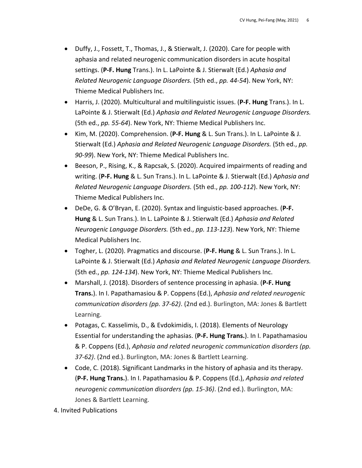- Duffy, J., Fossett, T., Thomas, J., & Stierwalt, J. (2020). Care for people with aphasia and related neurogenic communication disorders in acute hospital settings. (**P-F. Hung** Trans.). In L. LaPointe & J. Stierwalt (Ed.) *Aphasia and Related Neurogenic Language Disorders.* (5th ed., *pp. 44-54*). New York, NY: Thieme Medical Publishers Inc.
- Harris, J. (2020). Multicultural and multilinguistic issues. (**P-F. Hung** Trans.). In L. LaPointe & J. Stierwalt (Ed.) *Aphasia and Related Neurogenic Language Disorders.* (5th ed., *pp. 55-64*). New York, NY: Thieme Medical Publishers Inc.
- Kim, M. (2020). Comprehension. (**P-F. Hung** & L. Sun Trans.). In L. LaPointe & J. Stierwalt (Ed.) *Aphasia and Related Neurogenic Language Disorders.* (5th ed., *pp. 90-99*). New York, NY: Thieme Medical Publishers Inc.
- Beeson, P., Rising, K., & Rapcsak, S. (2020). Acquired impairments of reading and writing. (**P-F. Hung** & L. Sun Trans.). In L. LaPointe & J. Stierwalt (Ed.) *Aphasia and Related Neurogenic Language Disorders.* (5th ed., *pp. 100-112*). New York, NY: Thieme Medical Publishers Inc.
- DeDe, G. & O'Bryan, E. (2020). Syntax and linguistic-based approaches. (**P-F. Hung** & L. Sun Trans.). In L. LaPointe & J. Stierwalt (Ed.) *Aphasia and Related Neurogenic Language Disorders.* (5th ed., *pp. 113-123*). New York, NY: Thieme Medical Publishers Inc.
- Togher, L. (2020). Pragmatics and discourse. (**P-F. Hung** & L. Sun Trans.). In L. LaPointe & J. Stierwalt (Ed.) *Aphasia and Related Neurogenic Language Disorders.* (5th ed., *pp. 124-134*). New York, NY: Thieme Medical Publishers Inc.
- Marshall, J. (2018). Disorders of sentence processing in aphasia. (**P-F. Hung Trans.**). In I. Papathamasiou & P. Coppens (Ed.), *Aphasia and related neurogenic communication disorders (pp. 37-62)*. (2nd ed.). Burlington, MA: Jones & Bartlett Learning.
- Potagas, C. Kasselimis, D., & Evdokimidis, I. (2018). Elements of Neurology Essential for understanding the aphasias. (**P-F. Hung Trans.**). In I. Papathamasiou & P. Coppens (Ed.), *Aphasia and related neurogenic communication disorders (pp. 37-62)*. (2nd ed.). Burlington, MA: Jones & Bartlett Learning.
- Code, C. (2018). Significant Landmarks in the history of aphasia and its therapy. (**P-F. Hung Trans.**). In I. Papathamasiou & P. Coppens (Ed.), *Aphasia and related neurogenic communication disorders (pp. 15-36)*. (2nd ed.). Burlington, MA: Jones & Bartlett Learning.
- 4. Invited Publications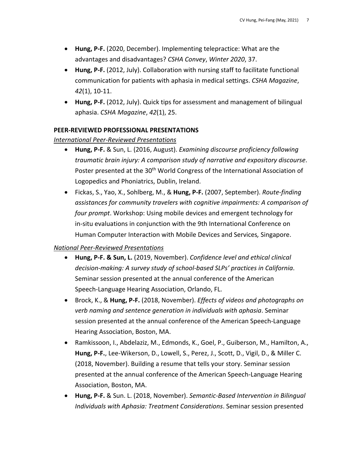- **Hung, P-F.** (2020, December). Implementing telepractice: What are the advantages and disadvantages? *CSHA Convey*, *Winter 2020*, 37.
- **Hung, P-F.** (2012, July). Collaboration with nursing staff to facilitate functional communication for patients with aphasia in medical settings. *CSHA Magazine*, *42*(1), 10-11.
- **Hung, P-F.** (2012, July). Quick tips for assessment and management of bilingual aphasia. *CSHA Magazine*, *42*(1), 25.

#### **PEER-REVIEWED PROFESSIONAL PRESENTATIONS**

#### *International Peer-Reviewed Presentations*

- **Hung, P-F.** & Sun, L. (2016, August). *Examining discourse proficiency following traumatic brain injury: A comparison study of narrative and expository discourse*. Poster presented at the 30<sup>th</sup> World Congress of the International Association of Logopedics and Phoniatrics, Dublin, Ireland.
- Fickas, S., Yao, X., Sohlberg, M., & **Hung, P-F.** (2007, September). *Route-finding assistances for community travelers with cognitive impairments: A comparison of four prompt*. Workshop: Using mobile devices and emergent technology for in-situ evaluations in conjunction with the 9th International Conference on Human Computer Interaction with Mobile Devices and Services*,* Singapore.

#### *National Peer-Reviewed Presentations*

- **Hung, P-F. & Sun, L.** (2019, November). *Confidence level and ethical clinical decision-making: A survey study of school-based SLPs' practices in California*. Seminar session presented at the annual conference of the American Speech-Language Hearing Association, Orlando, FL.
- Brock, K., & **Hung, P-F.** (2018, November). *Effects of videos and photographs on verb naming and sentence generation in individuals with aphasia*. Seminar session presented at the annual conference of the American Speech-Language Hearing Association, Boston, MA.
- Ramkissoon, I., Abdelaziz, M., Edmonds, K., Goel, P., Guiberson, M., Hamilton, A., **Hung, P-F.**, Lee-Wikerson, D., Lowell, S., Perez, J., Scott, D., Vigil, D., & Miller C. (2018, November). Building a resume that tells your story. Seminar session presented at the annual conference of the American Speech-Language Hearing Association, Boston, MA.
- **Hung, P-F.** & Sun. L. (2018, November). *Semantic-Based Intervention in Bilingual Individuals with Aphasia: Treatment Considerations*. Seminar session presented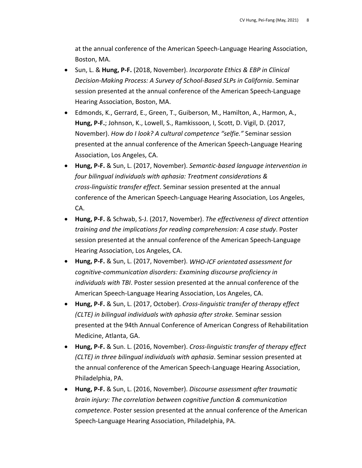at the annual conference of the American Speech-Language Hearing Association, Boston, MA.

- Sun, L. & **Hung, P-F.** (2018, November). *Incorporate Ethics & EBP in Clinical Decision-Making Process: A Survey of School-Based SLPs in California*. Seminar session presented at the annual conference of the American Speech-Language Hearing Association, Boston, MA.
- Edmonds, K., Gerrard, E., Green, T., Guiberson, M., Hamilton, A., Harmon, A., **Hung, P-F.**; Johnson, K., Lowell, S., Ramkissoon, I, Scott, D. Vigil, D. (2017, November). *How do I look? A cultural competence "selfie."* Seminar session presented at the annual conference of the American Speech-Language Hearing Association, Los Angeles, CA.
- **Hung, P-F.** & Sun, L. (2017, November). *Semantic-based language intervention in four bilingual individuals with aphasia: Treatment considerations & cross-linguistic transfer effect*. Seminar session presented at the annual conference of the American Speech-Language Hearing Association, Los Angeles, CA.
- **Hung, P-F.** & Schwab, S-J. (2017, November). *The effectiveness of direct attention training and the implications for reading comprehension: A case study*. Poster session presented at the annual conference of the American Speech-Language Hearing Association, Los Angeles, CA.
- **Hung, P-F.** & Sun, L. (2017, November). *WHO-ICF orientated assessment for cognitive-communication disorders: Examining discourse proficiency in individuals with TBI*. Poster session presented at the annual conference of the American Speech-Language Hearing Association, Los Angeles, CA.
- **Hung, P-F.** & Sun, L. (2017, October). *Cross-linguistic transfer of therapy effect (CLTE) in bilingual individuals with aphasia after stroke.* Seminar session presented at the 94th Annual Conference of American Congress of Rehabilitation Medicine, Atlanta, GA.
- **Hung, P-F.** & Sun. L. (2016, November). *Cross-linguistic transfer of therapy effect (CLTE) in three bilingual individuals with aphasia*. Seminar session presented at the annual conference of the American Speech-Language Hearing Association, Philadelphia, PA.
- **Hung, P-F.** & Sun, L. (2016, November). *Discourse assessment after traumatic brain injury: The correlation between cognitive function & communication competence*. Poster session presented at the annual conference of the American Speech-Language Hearing Association, Philadelphia, PA.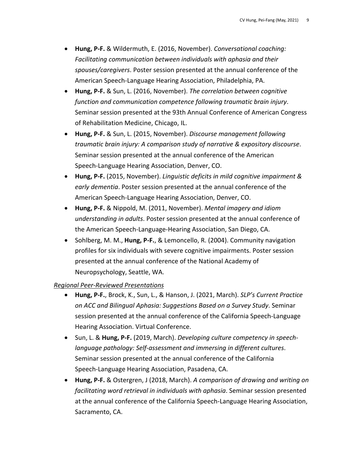- **Hung, P-F.** & Wildermuth, E. (2016, November). *Conversational coaching: Facilitating communication between individuals with aphasia and their spouses/caregivers*. Poster session presented at the annual conference of the American Speech-Language Hearing Association, Philadelphia, PA.
- **Hung, P-F.** & Sun, L. (2016, November). *The correlation between cognitive function and communication competence following traumatic brain injury*. Seminar session presented at the 93th Annual Conference of American Congress of Rehabilitation Medicine, Chicago, IL.
- **Hung, P-F.** & Sun, L. (2015, November). *Discourse management following traumatic brain injury: A comparison study of narrative & expository discourse*. Seminar session presented at the annual conference of the American Speech-Language Hearing Association, Denver, CO.
- **Hung, P-F.** (2015, November). *Linguistic deficits in mild cognitive impairment & early dementia*. Poster session presented at the annual conference of the American Speech-Language Hearing Association, Denver, CO.
- **Hung, P-F.** & Nippold, M. (2011, November). *Mental imagery and idiom understanding in adults*. Poster session presented at the annual conference of the American Speech-Language-Hearing Association, San Diego, CA.
- Sohlberg, M. M., **Hung, P-F.**, & Lemoncello, R. (2004). Community navigation profiles for six individuals with severe cognitive impairments. Poster session presented at the annual conference of the National Academy of Neuropsychology, Seattle, WA.

#### *Regional Peer-Reviewed Presentations*

- **Hung, P-F.**, Brock, K., Sun, L., & Hanson, J. (2021, March). *SLP's Current Practice on ACC and Bilingual Aphasia: Suggestions Based on a Survey Study*. Seminar session presented at the annual conference of the California Speech-Language Hearing Association. Virtual Conference.
- Sun, L. & **Hung, P-F.** (2019, March). *Developing culture competency in speechlanguage pathology: Self-assessment and immersing in different cultures*. Seminar session presented at the annual conference of the California Speech-Language Hearing Association, Pasadena, CA.
- **Hung, P-F.** & Ostergren, J (2018, March). *A comparison of drawing and writing on facilitating word retrieval in individuals with aphasia*. Seminar session presented at the annual conference of the California Speech-Language Hearing Association, Sacramento, CA.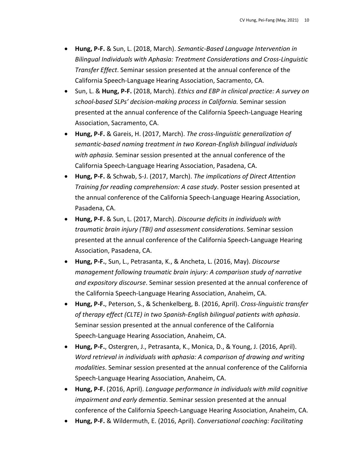- **Hung, P-F.** & Sun, L. (2018, March). *Semantic-Based Language Intervention in Bilingual Individuals with Aphasia: Treatment Considerations and Cross-Linguistic Transfer Effect*. Seminar session presented at the annual conference of the California Speech-Language Hearing Association, Sacramento, CA.
- Sun, L. & **Hung, P-F.** (2018, March). *Ethics and EBP in clinical practice: A survey on school-based SLPs' decision-making process in California.* Seminar session presented at the annual conference of the California Speech-Language Hearing Association, Sacramento, CA.
- **Hung, P-F.** & Gareis, H. (2017, March). *The cross-linguistic generalization of semantic-based naming treatment in two Korean-English bilingual individuals with aphasia.* Seminar session presented at the annual conference of the California Speech-Language Hearing Association, Pasadena, CA.
- **Hung, P-F.** & Schwab, S-J. (2017, March). *The implications of Direct Attention Training for reading comprehension: A case study*. Poster session presented at the annual conference of the California Speech-Language Hearing Association, Pasadena, CA.
- **Hung, P-F.** & Sun, L. (2017, March). *Discourse deficits in individuals with traumatic brain injury (TBI) and assessment considerations*. Seminar session presented at the annual conference of the California Speech-Language Hearing Association, Pasadena, CA.
- **Hung, P-F.**, Sun, L., Petrasanta, K., & Ancheta, L. (2016, May). *Discourse management following traumatic brain injury: A comparison study of narrative and expository discourse*. Seminar session presented at the annual conference of the California Speech-Language Hearing Association, Anaheim, CA.
- **Hung, P-F.**, Peterson, S., & Schenkelberg, B. (2016, April). *Cross-linguistic transfer of therapy effect (CLTE) in two Spanish-English bilingual patients with aphasia*. Seminar session presented at the annual conference of the California Speech-Language Hearing Association, Anaheim, CA.
- **Hung, P-F.**, Ostergren, J., Petrasanta, K., Monica, D., & Young, J. (2016, April). *Word retrieval in individuals with aphasia: A comparison of drawing and writing modalities*. Seminar session presented at the annual conference of the California Speech-Language Hearing Association, Anaheim, CA.
- **Hung, P-F.** (2016, April). *Language performance in individuals with mild cognitive impairment and early dementia*. Seminar session presented at the annual conference of the California Speech-Language Hearing Association, Anaheim, CA.
- **Hung, P-F.** & Wildermuth, E. (2016, April). *Conversational coaching: Facilitating*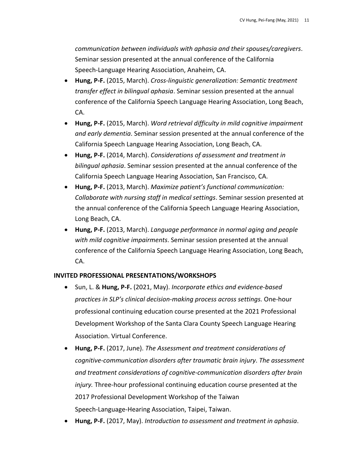*communication between individuals with aphasia and their spouses/caregivers*. Seminar session presented at the annual conference of the California Speech-Language Hearing Association, Anaheim, CA.

- **Hung, P-F.** (2015, March). *Cross-linguistic generalization: Semantic treatment transfer effect in bilingual aphasia*. Seminar session presented at the annual conference of the California Speech Language Hearing Association, Long Beach, CA.
- **Hung, P-F.** (2015, March). *Word retrieval difficulty in mild cognitive impairment and early dementia*. Seminar session presented at the annual conference of the California Speech Language Hearing Association, Long Beach, CA.
- **Hung, P-F.** (2014, March). *Considerations of assessment and treatment in bilingual aphasia*. Seminar session presented at the annual conference of the California Speech Language Hearing Association, San Francisco, CA.
- **Hung, P-F.** (2013, March). *Maximize patient's functional communication: Collaborate with nursing staff in medical settings*. Seminar session presented at the annual conference of the California Speech Language Hearing Association, Long Beach, CA.
- **Hung, P-F.** (2013, March). *Language performance in normal aging and people with mild cognitive impairments*. Seminar session presented at the annual conference of the California Speech Language Hearing Association, Long Beach, CA.

# **INVITED PROFESSIONAL PRESENTATIONS/WORKSHOPS**

- Sun, L. & **Hung, P-F.** (2021, May). *Incorporate ethics and evidence-based practices in SLP's clinical decision-making process across settings.* One-hour professional continuing education course presented at the 2021 Professional Development Workshop of the Santa Clara County Speech Language Hearing Association. Virtual Conference.
- **Hung, P-F.** (2017, June). *The Assessment and treatment considerations of cognitive-communication disorders after traumatic brain injury*. *The assessment and treatment considerations of cognitive-communication disorders after brain injury.* Three-hour professional continuing education course presented at the 2017 Professional Development Workshop of the Taiwan Speech-Language-Hearing Association, Taipei, Taiwan.
- **Hung, P-F.** (2017, May). *Introduction to assessment and treatment in aphasia*.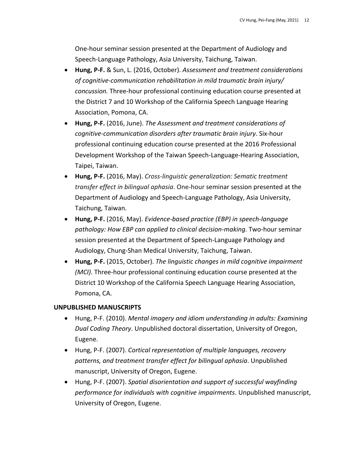One-hour seminar session presented at the Department of Audiology and Speech-Language Pathology, Asia University, Taichung, Taiwan.

- **Hung, P-F.** & Sun, L. (2016, October). *Assessment and treatment considerations of cognitive-communication rehabilitation in mild traumatic brain injury/ concussion.* Three-hour professional continuing education course presented at the District 7 and 10 Workshop of the California Speech Language Hearing Association, Pomona, CA.
- **Hung, P-F.** (2016, June). *The Assessment and treatment considerations of cognitive-communication disorders after traumatic brain injury*. Six-hour professional continuing education course presented at the 2016 Professional Development Workshop of the Taiwan Speech-Language-Hearing Association, Taipei, Taiwan.
- **Hung, P-F.** (2016, May). *Cross-linguistic generalization: Sematic treatment transfer effect in bilingual aphasia*. One-hour seminar session presented at the Department of Audiology and Speech-Language Pathology, Asia University, Taichung, Taiwan.
- **Hung, P-F.** (2016, May). *Evidence-based practice (EBP) in speech-language pathology: How EBP can applied to clinical decision-making*. Two-hour seminar session presented at the Department of Speech-Language Pathology and Audiology, Chung-Shan Medical University, Taichung, Taiwan.
- **Hung, P-F.** (2015, October). *The linguistic changes in mild cognitive impairment (MCI)*. Three-hour professional continuing education course presented at the District 10 Workshop of the California Speech Language Hearing Association, Pomona, CA.

# **UNPUBLISHED MANUSCRIPTS**

- Hung, P-F. (2010). *Mental imagery and idiom understanding in adults: Examining Dual Coding Theory*. Unpublished doctoral dissertation, University of Oregon, Eugene.
- Hung, P-F. (2007). *Cortical representation of multiple languages, recovery patterns, and treatment transfer effect for bilingual aphasia*. Unpublished manuscript, University of Oregon, Eugene.
- Hung, P-F. (2007). *Spatial disorientation and support of successful wayfinding performance for individuals with cognitive impairments*. Unpublished manuscript, University of Oregon, Eugene.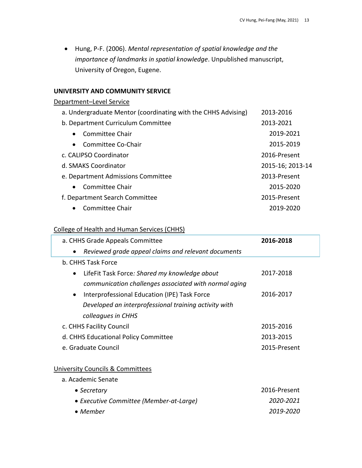• Hung, P-F. (2006). *Mental representation of spatial knowledge and the importance of landmarks in spatial knowledge*. Unpublished manuscript, University of Oregon, Eugene.

#### **UNIVERSITY AND COMMUNITY SERVICE**

# Department–Level Service

| a. Undergraduate Mentor (coordinating with the CHHS Advising) | 2013-2016        |
|---------------------------------------------------------------|------------------|
| b. Department Curriculum Committee                            | 2013-2021        |
| Committee Chair<br>$\bullet$                                  | 2019-2021        |
| Committee Co-Chair<br>$\bullet$                               | 2015-2019        |
| c. CALIPSO Coordinator                                        | 2016-Present     |
| d. SMAKS Coordinator                                          | 2015-16; 2013-14 |
| e. Department Admissions Committee                            | 2013-Present     |
| Committee Chair<br>$\bullet$                                  | 2015-2020        |
| f. Department Search Committee                                | 2015-Present     |
| Committee Chair<br>$\bullet$                                  | 2019-2020        |
|                                                               |                  |

# College of Health and Human Services (CHHS)

| a. CHHS Grade Appeals Committee                            |                                                       | 2016-2018    |  |  |
|------------------------------------------------------------|-------------------------------------------------------|--------------|--|--|
| Reviewed grade appeal claims and relevant documents        |                                                       |              |  |  |
| b. CHHS Task Force                                         |                                                       |              |  |  |
| LifeFit Task Force: Shared my knowledge about<br>$\bullet$ |                                                       | 2017-2018    |  |  |
|                                                            | communication challenges associated with normal aging |              |  |  |
| Interprofessional Education (IPE) Task Force<br>$\bullet$  |                                                       | 2016-2017    |  |  |
| Developed an interprofessional training activity with      |                                                       |              |  |  |
| colleagues in CHHS                                         |                                                       |              |  |  |
| c. CHHS Facility Council                                   |                                                       | 2015-2016    |  |  |
| d. CHHS Educational Policy Committee                       |                                                       | 2013-2015    |  |  |
| e. Graduate Council                                        |                                                       | 2015-Present |  |  |
|                                                            |                                                       |              |  |  |
| <b>University Councils &amp; Committees</b>                |                                                       |              |  |  |
| a. Academic Senate                                         |                                                       |              |  |  |
| • Secretary                                                |                                                       | 2016-Present |  |  |
| • Executive Committee (Member-at-Large)                    |                                                       | 2020-2021    |  |  |
| $\bullet$ Member                                           |                                                       | 2019-2020    |  |  |
|                                                            |                                                       |              |  |  |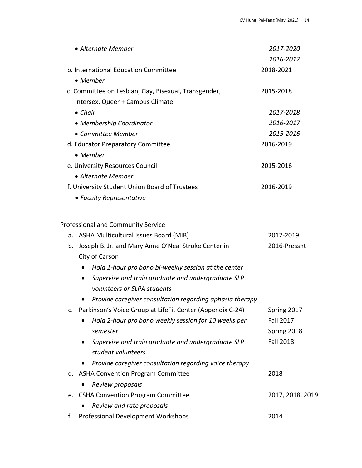| • Alternate Member |                                                                   | 2017-2020        |
|--------------------|-------------------------------------------------------------------|------------------|
|                    |                                                                   | 2016-2017        |
|                    | b. International Education Committee                              | 2018-2021        |
|                    | • Member                                                          |                  |
|                    | c. Committee on Lesbian, Gay, Bisexual, Transgender,              | 2015-2018        |
|                    | Intersex, Queer + Campus Climate                                  |                  |
|                    | $\bullet$ Chair                                                   | 2017-2018        |
|                    | • Membership Coordinator                                          | 2016-2017        |
|                    | • Committee Member                                                | 2015-2016        |
|                    | d. Educator Preparatory Committee                                 | 2016-2019        |
|                    | • Member                                                          |                  |
|                    | e. University Resources Council                                   | 2015-2016        |
|                    | • Alternate Member                                                |                  |
|                    | f. University Student Union Board of Trustees                     | 2016-2019        |
|                    | • Faculty Representative                                          |                  |
|                    |                                                                   |                  |
|                    | <b>Professional and Community Service</b>                         |                  |
|                    | a. ASHA Multicultural Issues Board (MIB)                          | 2017-2019        |
| b.                 | Joseph B. Jr. and Mary Anne O'Neal Stroke Center in               | 2016-Pressnt     |
|                    | City of Carson                                                    |                  |
|                    | Hold 1-hour pro bono bi-weekly session at the center<br>$\bullet$ |                  |
|                    | Supervise and train graduate and undergraduate SLP<br>٠           |                  |
|                    | volunteers or SLPA students                                       |                  |
|                    | Provide caregiver consultation regarding aphasia therapy          |                  |
|                    | c. Parkinson's Voice Group at LifeFit Center (Appendix C-24)      | Spring 2017      |
|                    | Hold 2-hour pro bono weekly session for 10 weeks per              | <b>Fall 2017</b> |
|                    | semester                                                          | Spring 2018      |
|                    | Supervise and train graduate and undergraduate SLP<br>٠           | <b>Fall 2018</b> |
|                    | student volunteers                                                |                  |
|                    | Provide caregiver consultation regarding voice therapy            |                  |
|                    | d. ASHA Convention Program Committee                              | 2018             |
|                    | Review proposals                                                  |                  |
|                    | e. CSHA Convention Program Committee                              | 2017, 2018, 2019 |
|                    | Review and rate proposals                                         |                  |
| f.                 | Professional Development Workshops                                | 2014             |